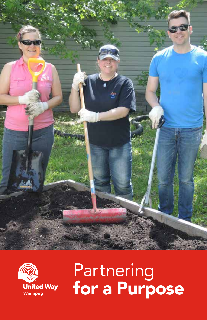



# **Partnering** for a Purpose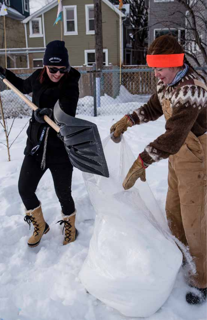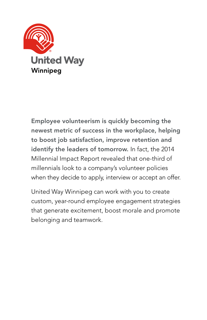

Employee volunteerism is quickly becoming the newest metric of success in the workplace, helping to boost job satisfaction, improve retention and identify the leaders of tomorrow. In fact, the 2014 Millennial Impact Report revealed that one-third of millennials look to a company's volunteer policies when they decide to apply, interview or accept an offer.

United Way Winnipeg can work with you to create custom, year-round employee engagement strategies that generate excitement, boost morale and promote belonging and teamwork.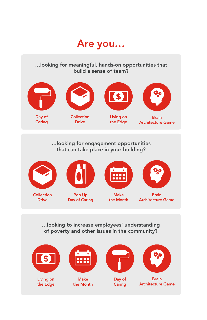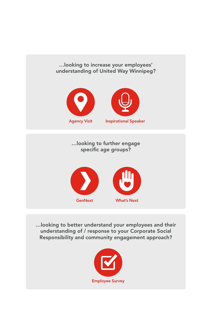



#### …looking to further engage specific age groups?



…looking to better understand your employees and their understanding of / response to your Corporate Social Responsibility and community engagement approach?

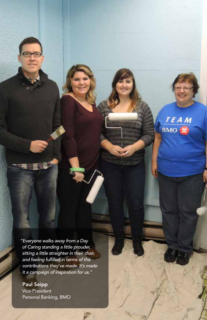*"Everyone walks away from a Day of Caring standing a little prouder, sitting a little straighter in their chair, and feeling fulfilled in terms of the contributions they've made. It's made it a campaign of inspiration for us."*

TEAM

BMO<sup>2</sup>

Paul Seipp Vice-President Personal Banking, BMO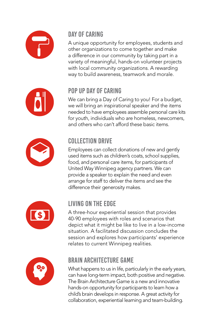

#### Day of Caring

A unique opportunity for employees, students and other organizations to come together and make a difference in our community by taking part in a variety of meaningful, hands-on volunteer projects with local community organizations. A rewarding way to build awareness, teamwork and morale.



#### POP UP DAY OF CARING

We can bring a Day of Caring to you! For a budget, we will bring an inspirational speaker and the items needed to have employees assemble personal care kits for youth, individuals who are homeless, newcomers, and others who can't afford these basic items.



#### Collection Drive

Employees can collect donations of new and gently used items such as children's coats, school supplies, food, and personal care items, for participants of United Way Winnipeg agency partners. We can provide a speaker to explain the need and even arrange for staff to deliver the items and see the difference their generosity makes.



#### Living On The Edge

A three-hour experiential session that provides 40-90 employees with roles and scenarios that depict what it might be like to live in a low-income situation. A facilitated discussion concludes the session and explores how participants' experience relates to current Winnipeg realities.



#### brain architecture game

What happens to us in life, particularly in the early years, can have long-term impact, both positive and negative. The Brain Architecture Game is a new and innovative hands-on opportunity for participants to learn how a child's brain develops in response. A great activity for collaboration, experiential learning and team-building.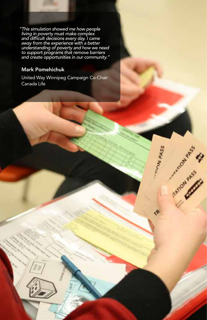*"This simulation showed me how people living in poverty must make complex and difficult decisions every day. I came away from the experience with a better understanding of poverty and how we need to support programs that remove barriers and create opportunities in our community."*

#### Mark Pomehichuk

United Way Winnipeg Campaign Co-Chair Canada Life

TANDAL PASS

TANDAL PASS

SSK4 NUM

 $\mathcal{R}$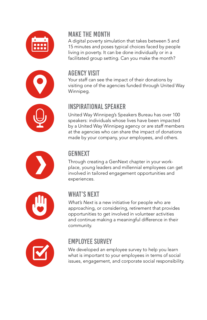





#### Make the Month

A digital poverty simulation that takes between 5 and 15 minutes and poses typical choices faced by people living in poverty. It can be done individually or in a facilitated group setting. Can you make the month?

#### Agency Visit

Your staff can see the impact of their donations by visiting one of the agencies funded through United Way Winnipeg.

#### Inspirational Speaker

United Way Winnipeg's Speakers Bureau has over 100 speakers: individuals whose lives have been impacted by a United Way Winnipeg agency or are staff members at the agencies who can share the impact of donations made by your company, your employees, and others.



#### **GENNEXT**

Through creating a GenNext chapter in your workplace, young leaders and millennial employees can get involved in tailored engagement opportunities and experiences.



### WHAT'S NEXT

*What's Next* is a new initiative for people who are approaching, or considering, retirement that provides opportunities to get involved in volunteer activities and continue making a meaningful difference in their community.



### **EMPLOYEE SURVEY**

We developed an employee survey to help you learn what is important to your employees in terms of social issues, engagement, and corporate social responsibility.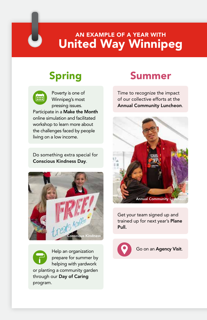# AN EXAMPLE OF A YEAR WITH United Way Winnipeg



Poverty is one of Winnipeg's most pressing issues. Participate in a Make the Month online simulation and facilitated workshop to learn more about the challenges faced by people living on a low income.

Do something extra special for Conscious Kindness Day.



Help an organization prepare for summer by helping with yardwork or planting a community garden through our Day of Caring program.

# Spring Summer

Time to recognize the impact of our collective efforts at the Annual Community Luncheon.



Get your team signed up and trained up for next year's Plane Pull.

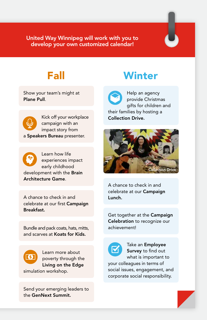United Way Winnipeg will work with you to develop your own customized calendar!

Show your team's might at Plane Pull.



Kick off your workplace campaign with an impact story from a Speakers Bureau presenter.

Learn how life experiences impact early childhood development with the Brain Architecture Game.

A chance to check in and celebrate at our first Campaign Breakfast.

Bundle and pack coats, hats, mitts, and scarves at Koats for Kids.



Learn more about poverty through the Living on the Edge simulation workshop.

Send your emerging leaders to the GenNext Summit.

# Fall Winter

Help an agency provide Christmas gifts for children and their families by hosting a Collection Drive.



A chance to check in and celebrate at our Campaign Lunch.

Get together at the Campaign Celebration to recognize our achievement!

 $\blacktriangledown$ 

Take an Employee Survey to find out what is important to

your colleagues in terms of social issues, engagement, and corporate social responsibility.